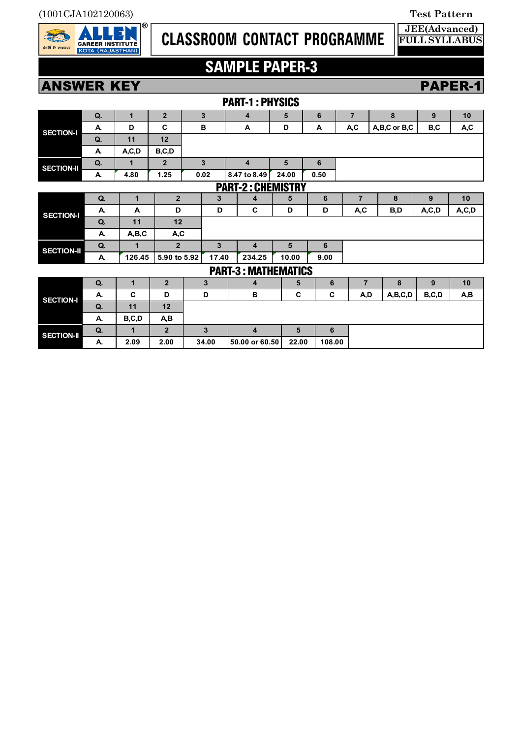

# **CLASSROOM CONTACT PROGRAMME**

### **JEE(Advanced) FULL SYLLABUS**

# **SAMPLE PAPER-3**

# **ANSWER KEY PAPER-1**

|                   |    |              |                |       |        | <b>PART-1: PHYSICS</b>     |       |                 |      |                |              |         |         |
|-------------------|----|--------------|----------------|-------|--------|----------------------------|-------|-----------------|------|----------------|--------------|---------|---------|
| <b>SECTION-I</b>  | Q. | $\mathbf{1}$ | $\overline{2}$ | 3     |        | 4                          | 5     | 6               |      | $\overline{7}$ | 8            | 9       | 10      |
|                   | А. | D            | C              | в     |        | A                          | D     | A               |      | A,C            | A,B,C or B,C | B,C     | A,C     |
|                   | Q. | 11           | 12             |       |        |                            |       |                 |      |                |              |         |         |
|                   | А. | A, C, D      | B, C, D        |       |        |                            |       |                 |      |                |              |         |         |
| <b>SECTION-II</b> | Q. | 1            | $\overline{2}$ | 3     |        | 4                          | 5     | 6               |      |                |              |         |         |
|                   | А. | 4.80         | 1.25           | 0.02  |        | 8.47 to 8.49               | 24.00 | 0.50            |      |                |              |         |         |
|                   |    |              |                |       |        | <b>PART-2: CHEMISTRY</b>   |       |                 |      |                |              |         |         |
| <b>SECTION-I</b>  | Q. | $\mathbf 1$  | $\overline{2}$ | 3     |        | 4                          | 5     |                 | 6    | $\overline{7}$ | 8            | 9       | 10      |
|                   | Α. | A            | D              |       | D      | C                          | D     |                 | D    | A,C            | B,D          | A, C, D | A, C, D |
|                   | Q. | 11           | 12             |       |        |                            |       |                 |      |                |              |         |         |
|                   | А. | A,B,C        | A,C            |       |        |                            |       |                 |      |                |              |         |         |
| <b>SECTION-II</b> | Q. | 1            | $\overline{2}$ |       | 3<br>4 |                            | 5     |                 | 6    |                |              |         |         |
|                   | А. | 126.45       | 5.90 to 5.92   |       | 17.40  | 234.25                     | 10.00 |                 | 9.00 |                |              |         |         |
|                   |    |              |                |       |        | <b>PART-3: MATHEMATICS</b> |       |                 |      |                |              |         |         |
| <b>SECTION-I</b>  | Q. | 1            | $\overline{2}$ | 3     |        | 4                          | 5     | 6               |      | $\overline{7}$ | 8            | 9       | 10      |
|                   | А. | C            | D              | D     |        | в                          |       | C<br>C          |      | A,D            | A,B,C,D      | B,C,D   | A,B     |
|                   | Q. | 11           | 12             |       |        |                            |       |                 |      |                |              |         |         |
|                   | А. | B,C,D        | A,B            |       |        |                            |       |                 |      |                |              |         |         |
| <b>SECTION-II</b> | Q. | $\mathbf{1}$ | $\overline{2}$ | 3     |        | $\overline{4}$             | 5     |                 | 6    |                |              |         |         |
|                   | А. | 2.09         | 2.00           | 34.00 |        | 50.00 or 60.50             |       | 22.00<br>108.00 |      |                |              |         |         |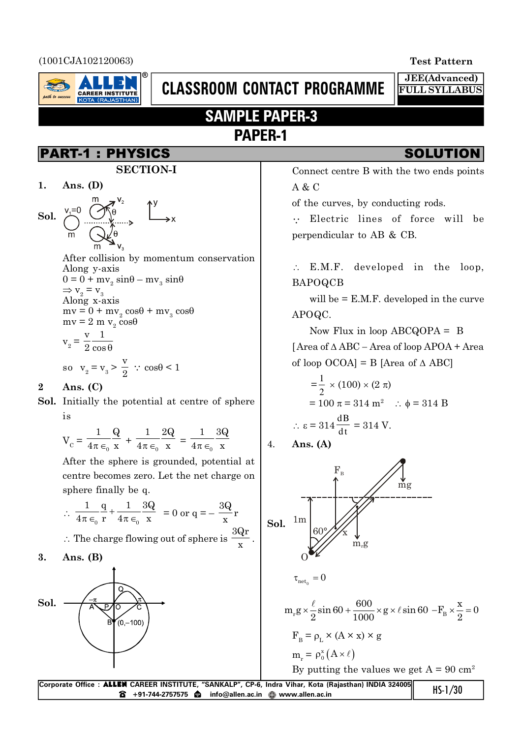### (1001CJA102120063) **Test Pattern**



# **CLASSROOM CONTACT PROGRAMME**

# **SAMPLE PAPER-3 PAPER-1**

# PART-1 : PHYSICS SOLUTION

**SECTION-I**

**1. Ans. (D)**

**Sol.**

After collision by momentum conservation Along y-axis  $0 = 0 + mv<sub>2</sub> sin\theta - mv<sub>3</sub> sin\theta$  $\Rightarrow$  v<sub>2</sub> = v<sub>3</sub> Along x-axis  $mv = 0 + mv_2 \cos\theta + mv_3 \cos\theta$  $mv = 2 m v_2 \cos\theta$  $v_2 = \frac{v}{2} \frac{1}{\cos \theta}$ v 1 2 cos so  $v_2 = v_3 >$ v  $\frac{1}{2}$  :  $\cos\theta < 1$ 

### **2 Ans. (C)**

**Sol.** Initially the potential at centre of sphere is

$$
V_C = \frac{1}{4\pi \epsilon_0} \frac{Q}{x} + \frac{1}{4\pi \epsilon_0} \frac{2Q}{x} = \frac{1}{4\pi \epsilon_0} \frac{3Q}{x}
$$

After the sphere is grounded, potential at centre becomes zero. Let the net charge on sphere finally be q.

$$
\therefore \frac{1}{4\pi \epsilon_0} \frac{q}{r} + \frac{1}{4\pi \epsilon_0} \frac{3Q}{x} = 0 \text{ or } q = -\frac{3Q}{x}r
$$
  
 
$$
\therefore \text{ The charge flowing out of sphere is } \frac{3Qr}{}
$$

$$
3. \quad \text{Ans. (B)}
$$



**JEE(Advanced) FULL SYLLABUS**

Connect centre B with the two ends points A & C

of the curves, by conducting rods.

' Electric lines of force will be perpendicular to AB & CB.

 $\therefore$  E.M.F. developed in the loop, BAPOQCB

will be = E.M.F. developed in the curve APOQC.

Now Flux in loop  $ABCQOPA = B$  $[Area of  $\triangle ABC - Area of loop APOA + Area$$ of loop OCOA] = B [Area of  $\triangle$  ABC]

$$
= \frac{1}{2} \times (100) \times (2 \pi)
$$
  
= 100 π = 314 m<sup>2</sup> ∴ φ = 314 B  
∴ ε = 314  $\frac{dB}{dt}$  = 314 V.

4. **Ans. (A)**



By putting the values we get  $A = 90$  cm<sup>2</sup>

| Corporate Office: <b>ALLEN</b> CAREER INSTITUTE, "SANKALP", CP-6, Indra Vihar, Kota (Rajasthan) INDIA 324005 | $HS-1/30$ |
|--------------------------------------------------------------------------------------------------------------|-----------|
|                                                                                                              |           |

x .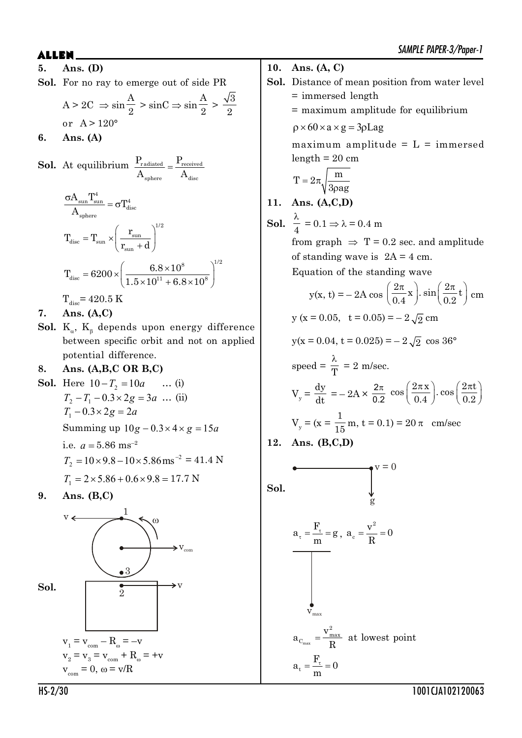- **5. Ans. (D)**
- **Sol.** For no ray to emerge out of side PR

 $A > 2C \Rightarrow \sin$ A  $\frac{11}{2}$  > sinC  $\Rightarrow$  sin A  $\frac{A}{2} > \frac{\sqrt{3}}{2}$ 2 or  $A > 120^\circ$ 

**6. Ans. (A)**

**Sol.** At equilibrium  $\frac{\Gamma_{\text{radiated}}}{\Gamma_{\text{received}}}$ sphere  $\qquad \qquad$   $\ddots$  disc  $P_{\text{radiated}} = P_{\text{g}}$  $A_{\text{sphere}}$  A  $=$ 

$$
\begin{aligned} &\frac{\sigma A_{\rm sun} T_{\rm sun}^4}{A_{\rm sphere}} = \sigma T_{\rm disc}^4 \\ &T_{\rm disc} = T_{\rm sun} \times \left(\frac{r_{\rm sun}}{r_{\rm sun} + d}\right)^{1/2} \\ &T_{\rm disc} = 6200 \times \left(\frac{6.8 \times 10^8}{1.5 \times 10^{11} + 6.8 \times 10^8}\right)^{1/2} \\ &T_{\rm disc} = 420.5~K \end{aligned}
$$

**7. Ans. (A,C)**

 ${\bf Sol.}\ \ {\rm K}_{_\alpha} ,\ {\rm K}_{_\beta }$  depends upon energy difference between specific orbit and not on applied potential difference.

## **8. Ans. (A,B,C OR B,C)**

- **Sol.** Here  $10 T_2 = 10a$  ... (i)  $T_2 - T_1 - 0.3 \times 2g = 3a$  ... (ii)  $T_1 - 0.3 \times 2g = 2a$ Summing up  $10g - 0.3 \times 4 \times g = 15a$ i.e.  $a = 5.86$  ms<sup>-2</sup> 2  $T_2 = 10 \times 9.8 - 10 \times 5.86 \,\text{ms}^{-2} = 41.4 \text{ N}$  $T_1 = 2 \times 5.86 + 0.6 \times 9.8 = 17.7$  N
- **9. Ans. (B,C)**



- **10. Ans. (A, C)**
- **Sol.** Distance of mean position from water level = immersed length
	- = maximum amplitude for equilibrium

 $p \times 60 \times a \times g = 3pLag$ 

maximum amplitude  $= L = \text{immersed}$  $length = 20$  cm

$$
T=2\pi\sqrt{\frac{m}{3\rho ag}}
$$

**11. Ans. (A,C,D)**

**12** 

**Sol.** 
$$
\frac{\lambda}{4} = 0.1 \Rightarrow \lambda = 0.4 \text{ m}
$$
  
\nfrom graph  $\Rightarrow$  T = 0.2 sec. and amplitude  
\nof standing wave is 2A = 4 cm.  
\nEquation of the standing wave  
\n $y(x, t) = -2A \cos \left(\frac{2\pi}{0.4}x\right) \cdot \sin \left(\frac{2\pi}{0.2}t\right) \text{ cm}$   
\n $y(x = 0.05, t = 0.05) = -2\sqrt{2} \text{ cm}$   
\n $y(x = 0.04, t = 0.025) = -2\sqrt{2} \cos 36^\circ$   
\nspeed =  $\frac{\lambda}{T} = 2 \text{ m/sec.}$   
\n $V_y = \frac{dy}{dt} = -2A \times \frac{2\pi}{0.2} \cos \left(\frac{2\pi x}{0.4}\right) \cdot \cos \left(\frac{2\pi t}{0.2}\right)$   
\n $V_y = (x = \frac{1}{15} \text{ m}, t = 0.1) = 20 \text{ }\pi \text{ cm/sec}$   
\n**12. Ans. (B,C,D)**

**Sol.**  
\n**Sol.**  
\n
$$
a_{\tau} = \frac{F_{\tau}}{m} = g, \quad a_{c} = \frac{v^{2}}{R} = 0
$$
\n
$$
v_{\text{max}}
$$
\n
$$
a_{C_{\text{max}}} = \frac{v_{\text{max}}^{2}}{R} \quad \text{at lowest point}
$$
\n
$$
a_{\tau} = \frac{F_{\tau}}{m} = 0
$$

HS-2/30 1001CJA102120063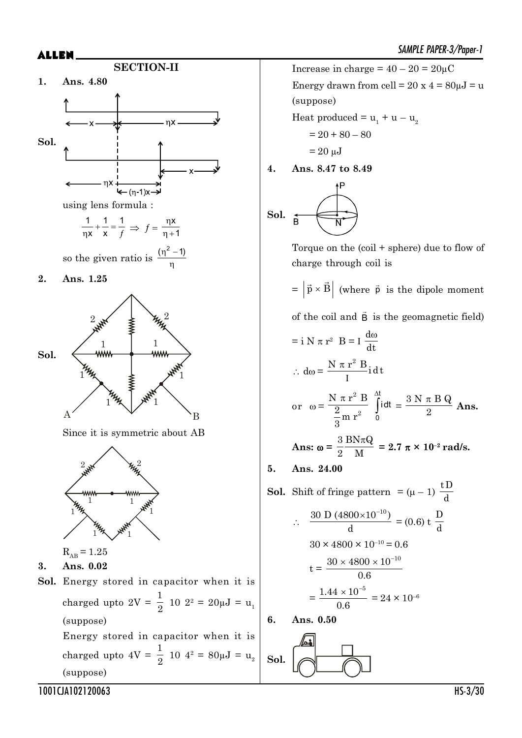

Increase in charge =  $40 - 20 = 20 \mu C$ Energy drawn from cell =  $20 \times 4 = 80 \mu J = u$ (suppose)

Heat produced =  $u_1 + u - u_2$ 

$$
= 20 + 80 - 80
$$

$$
= 20 \ \mu \text{J}
$$

**4. Ans. 8.47 to 8.49**

$$
\text{Sol.} \quad \underset{\mathbf{B}}{\overset{\mathbf{F}}{\longrightarrow}}
$$

Torque on the (coil + sphere) due to flow of charge through coil is

 $= |\vec{p} \times \vec{B}|$  (where  $\vec{p}$  is the dipole moment

of the coil and  $\vec{B}$  is the geomagnetic field)

$$
= i N \pi r^{2} B = I \frac{d\omega}{dt}
$$
  
\n
$$
\therefore d\omega = \frac{N \pi r^{2} B}{I} i dt
$$
  
\nor 
$$
\omega = \frac{N \pi r^{2} B}{\frac{2}{3} m r^{2}} \int_{0}^{dt} i dt = \frac{3 N \pi B Q}{2} \text{ Ans.}
$$
  
\nAns:  $\omega = \frac{3}{2} \frac{B N \pi Q}{M} = 2.7 \pi \times 10^{-2} \text{ rad/s.}$ 

**5. Ans. 24.00**

**Sol.** Shift of fringe pattern 
$$
= (\mu - 1) \frac{tD}{d}
$$
  
\n $\therefore \frac{30 D (4800 \times 10^{-10})}{d} = (0.6) t \frac{D}{d}$   
\n $30 \times 4800 \times 10^{-10} = 0.6$   
\n $t = \frac{30 \times 4800 \times 10^{-10}}{0.6}$   
\n $= \frac{1.44 \times 10^{-5}}{0.6} = 24 \times 10^{-6}$   
\n**6.** Ans. 0.50

**Sol.**

1001CJA102120063 HS-3/30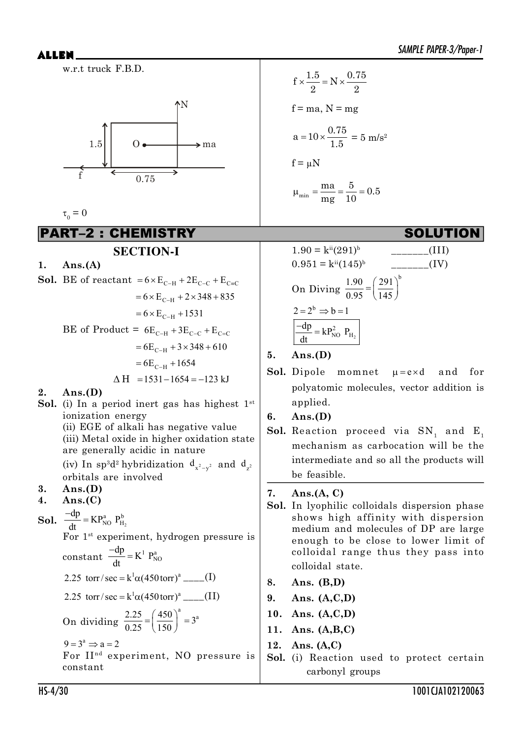w.r.t truck F.B.D.



$$
\tau_0^0 = 0
$$

PART–2 : CHEMISTRY SOLUTION

# **SECTION-I**

**1. Ans.(A)**

**Sol.** BE of reactant = 
$$
6 \times E_{C-H} + 2E_{C-C} + E_{C=C}
$$
  
\n=  $6 \times E_{C-H} + 2 \times 348 + 835$   
\n=  $6 \times E_{C-H} + 1531$   
\nBE of Product =  $6E_{C-H} + 3E_{C-C} + E_{C=C}$   
\n=  $6E_{C-H} + 3 \times 348 + 610$   
\n=  $6E_{C-H} + 1654$   
\n $\Delta H = 1531 - 1654 = -123 \text{ kJ}$   
\n2. Ans.(D)

- **Sol.** (i) In a period inert gas has highest  $1^{st}$ ionization energy
	- (ii) EGE of alkali has negative value (iii) Metal oxide in higher oxidation state are generally acidic in nature (iv) In  $sp^3d^2$  hybridization  $d_{x^2-y^2}$  and  $d_{z^2}$

orbitals are involved

# **3. Ans.(D)**

- **4. Ans.(C)**
- **Sol.**  $\frac{-dp}{dt} = KP_{NO}^{a} P_{H_2}^{b}$ dt  $\frac{-dp}{dt} =$

For 1<sup>st</sup> experiment, hydrogen pressure is  $-dn$ 

$$
constant \frac{-dp}{dt} = K^1 P_{NO}^a
$$

2.25 torr/sec = 
$$
k^1\alpha(450 \text{ torr})^a
$$
 (I)

2.25 torr/sec = 
$$
k^1\alpha(450 \text{ torr})^a
$$
 \_\_\_\_\_\_(II)

On dividing 
$$
\frac{2.25}{0.25} = \left(\frac{450}{150}\right)^a = 3^a
$$

$$
9 = 3^a \Rightarrow a = 2
$$

For II<sup>nd</sup> experiment, NO pressure is constant

$$
f \times \frac{1.5}{2} = N \times \frac{0.75}{2}
$$
  
f = ma, N = mg  

$$
a = 10 \times \frac{0.75}{1.5} = 5 \text{ m/s}^2
$$
  
f =  $\mu$ N  

$$
\mu_{\min} = \frac{\text{ma}}{\text{mg}} = \frac{5}{10} = 0.5
$$



- **5. Ans.(D)**
- **Sol.** Dipole momnet  $\mu = e \times d$  and for polyatomic molecules, vector addition is applied.

**6. Ans.(D)**

 ${\bf Sol.}$  Reaction proceed via  ${\rm SN}_{_{1}}$  and  ${\rm E}_{_{1}}$ mechanism as carbocation will be the intermediate and so all the products will be feasible.

**7. Ans.(A, C)**

- **Sol.** In lyophilic colloidals dispersion phase shows high affinity with dispersion medium and molecules of DP are large enough to be close to lower limit of colloidal range thus they pass into colloidal state.
- **8. Ans. (B,D)**
- **9. Ans. (A,C,D)**
- **10. Ans. (A,C,D)**
- **11. Ans. (A,B,C)**
- **12. Ans. (A,C)**
- **Sol.** (i) Reaction used to protect certain carbonyl groups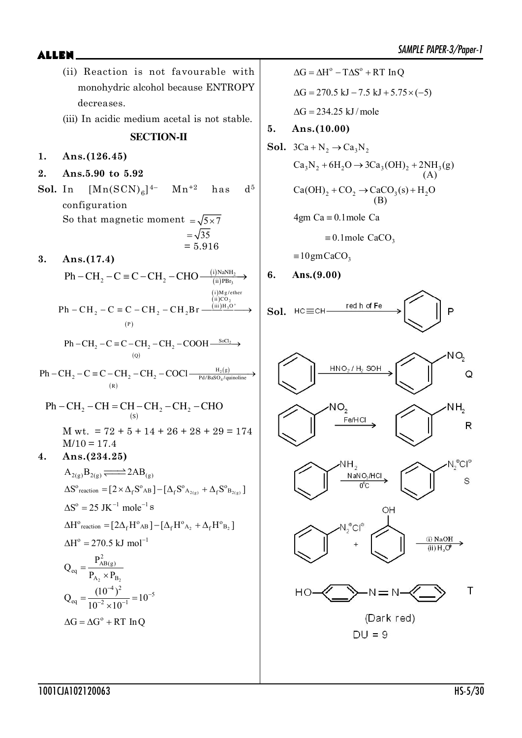monohydric alcohol because ENTROPY decreases. (iii) In acidic medium acetal is not stable. **SECTION-II 1. Ans.(126.45) 2. Ans.5.90 to 5.92 Sol.** In  $[Mn(SCN)<sub>6</sub>]$  $Mn^{+2}$  has  $d^5$ configuration So that magnetic moment  $=\sqrt{5 \times 7}$  $=\sqrt{35}$  $= 5.916$ **3. Ans.(17.4)**  $(i)$  NaNH<sub>2</sub>  $(ii)$ PBr<sub>3</sub>  $Ph - CH$ ,  $-C \equiv C - CH$ ,  $-CHO$  $(P)$  $(i)$ M  $\overline{1}$ ií) $\overline{2}$ O<sub>2</sub>  $(iii)$ H<sub>3</sub>O<sup>+</sup> i) Mg/ether  $\text{Ph} - \text{CH}_2 - \text{C} \equiv \text{C} - \text{CH}_2 - \text{CH}_2\text{Br} \xrightarrow{\text{(m)}\text{H}_3\text{O}}$ P  $(Q)$  $\text{Ph}-\text{CH}_2-\text{C} \equiv \text{C}-\text{CH}_2-\text{CH}_2-\text{COOH} \xrightarrow{\text{SoCl}_2}$ Q  $(R)$  $_{2}$ (g) 4  $H<sub>2</sub>(g)$  $\rm Ph-CH_2-C\equiv C-CH_2-CH_2-COCl$   $\longrightarrow$   $\frac{\rm H_2(g)}{\rm Pd/BaSO_4/quinoline}$ R 2  $C_{11} = C_{11} C_{11_2} C_{11_2}$  $Ph - CH_2 - CH = CH - CH_2 - CH_2 - CHO$ M wt.  $= 72 + 5 + 14 + 26 + 28 + 29 = 174$  $M/10 = 17.4$ **4. Ans.(234.25)**  $A_{2(g)}B_{2(g)} \rightleftharpoons 2AB_{(g)}$  $\Delta S^{\circ}$  reaction  $= [2 \times \Delta_f S^{\circ}{}_{AB} ] - [\Delta_f S^{\circ}{}_{A_{2(g)}} + \Delta_f S^{\circ}{}_{B_{2(g)}} ]$  $\Delta S^{\rm o} = 25$  JK $^{-1}$  mole<sup>-1</sup> s  $\Delta H^{\circ}$ reaction  $=$   $[2\Delta_{\rm f}H^{\circ}{}_{\rm AB}$   $]-[\Delta_{\rm f}H^{\circ}{}_{\rm A_2} + \Delta_{\rm f}H^{\circ}{}_{\rm B_2}$  ]  $\Delta H^{\circ} = 270.5 \text{ kJ mol}^{-1}$ 2 P<sub>2</sub> 2 AB(g) eq  $A_2 \triangle^{I} B$ P Q  $P_{A_2} \times P$  $=$  $\times$  $Q_{eq} = \frac{(10^{-4})^2}{10^{-2} \times 10^{-1}} = 10^{-5}$  $10^{-2} \times 10$  $^{4})^{2}$   $_{-10^{-}}$  $=\frac{(10)}{10^{-2} \times 10^{-1}}$  $\times$  $\Delta G = \Delta G^{\circ} + RT \ln Q$ 

(ii) Reaction is not favourable with

 $\Delta G = \Delta H^{\circ} - T \Delta S^{\circ} + RT \ln Q$  $\Delta G = 270.5 \text{ kJ} - 7.5 \text{ kJ} + 5.75 \times (-5)$  $\Delta G = 234.25$  kJ/mole **5. Ans.(10.00)**

**Sol.** 
$$
3Ca + N_2 \rightarrow Ca_3N_2
$$
  
\n $Ca_3N_2 + 6H_2O \rightarrow 3Ca_3(OH)_2 + 2NH_3(g)$   
\n $(A)$   
\n $Ca(OH)_2 + CO_2 \rightarrow CaCO_3(s) + H_2O$   
\n $(B)$   
\n $4gm Ca \equiv 0.1mole Ca$   
\n $\equiv 0.1mole CaCO_3$   
\n $\equiv 10gm CaCO_3$ 

**6. Ans.(9.00)**











 $DU = 9$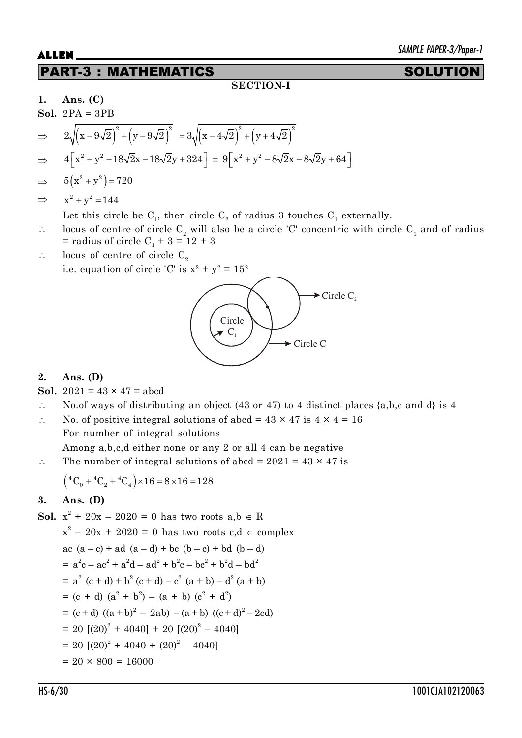# PART-3 : MATHEMATICS SOLUTION

### **SECTION-I**

**1. Ans. (C)**

**Sol.** 
$$
2PA = 3PB
$$
  
\n
$$
\Rightarrow 2\sqrt{(x-9\sqrt{2})^2 + (y-9\sqrt{2})^2} = 3\sqrt{(x-4\sqrt{2})^2 + (y+4\sqrt{2})^2}
$$
\n
$$
4\sqrt{2} + 3 = 3\sqrt{2} - 3 = 3\sqrt{2} - 3 = 3\sqrt{2} - 3 = 3\sqrt{2} - 3 = 3\sqrt{2} - 3 = 3\sqrt{2} - 3 = 3\sqrt{2} - 3 = 3\sqrt{2} - 3 = 3\sqrt{2} - 3 = 3\sqrt{2} - 3 = 3\sqrt{2} - 3 = 3\sqrt{2} - 3 = 3\sqrt{2} - 3 = 3\sqrt{2} - 3 = 3\sqrt{2} - 3 = 3\sqrt{2} - 3 = 3\sqrt{2} - 3 = 3\sqrt{2} - 3 = 3\sqrt{2} - 3 = 3\sqrt{2} - 3 = 3\sqrt{2} - 3 = 3\sqrt{2} - 3 = 3\sqrt{2} - 3 = 3\sqrt{2} - 3 = 3\sqrt{2} - 3 = 3\sqrt{2} - 3 = 3\sqrt{2} - 3 = 3\sqrt{2} - 3 = 3\sqrt{2} - 3 = 3\sqrt{2} - 3 = 3\sqrt{2} - 3 = 3\sqrt{2} - 3 = 3\sqrt{2} - 3 = 3\sqrt{2} - 3 = 3\sqrt{2} - 3 = 3\sqrt{2} - 3 = 3\sqrt{2} - 3 = 3\sqrt{2} - 3 = 3\sqrt{2} - 3 = 3\sqrt{2} - 3 = 3\sqrt{2} - 3 = 3\sqrt{2} - 3 = 3\sqrt{2} - 3 = 3\sqrt{2} - 3 = 3\sqrt{2} - 3 = 3\sqrt{2} - 3 = 3\sqrt{2} - 3 = 3\sqrt{2} - 3 = 3\sqrt{2} - 3 = 3\sqrt{2} - 3 = 3\sqrt{2} - 3 = 3\sqrt{2} - 3 = 3\sqrt{2} - 3 = 3\sqrt{2} - 3 = 3\sqrt{2} - 3 = 3\sqrt{2} - 3 = 3\sqrt{2} - 3 = 3\sqrt{2} - 3 = 3\sqrt{2} - 3 = 3\sqrt{2} - 3 =
$$

$$
\Rightarrow \quad 4\left[x^2 + y^2 - 18\sqrt{2}x - 18\sqrt{2}y + 324\right] = 9\left[x^2 + y^2 - 8\sqrt{2}x - 8\sqrt{2}y + 64\right]
$$

$$
\Rightarrow \qquad 5(x^2 + y^2) = 720
$$

$$
\Rightarrow \qquad x^2 + y^2 = 144
$$

Let this circle be  $\mathrm{C}_1^{}$ , then circle  $\mathrm{C}_2^{}$  of radius 3 touches  $\mathrm{C}_1^{}$  externally.

- $\therefore$  locus of centre of circle C<sub>2</sub> will also be a circle 'C' concentric with circle C<sub>1</sub> and of radius  $=$  radius of circle C<sub>1</sub> + 3 = 12 + 3
- $\therefore$  locus of centre of circle C<sub>2</sub>

i.e. equation of circle 'C' is  $x^2 + y^2 = 15^2$ 



### **2. Ans. (D)**

**Sol.**  $2021 = 43 \times 47 =$ abcd

 $\therefore$  No.of ways of distributing an object (43 or 47) to 4 distinct places {a,b,c and d} is 4

 $\therefore$  No. of positive integral solutions of abcd = 43 × 47 is 4 × 4 = 16 For number of integral solutions Among a,b,c,d either none or any 2 or all 4 can be negative

 $\therefore$  The number of integral solutions of abcd = 2021 = 43  $\times$  47 is

$$
({}^{4}C_{0} + {}^{4}C_{2} + {}^{4}C_{4}) \times 16 = 8 \times 16 = 128
$$

## **3. Ans. (D)**

**Sol.** 
$$
x^2 + 20x - 2020 = 0
$$
 has two roots  $a, b \in R$   
\n $x^2 - 20x + 2020 = 0$  has two roots  $c, d \in \text{complex}$   
\n $ac (a - c) + ad (a - d) + bc (b - c) + bd (b - d)$   
\n $= a^2c - ac^2 + a^2d - ad^2 + b^2c - bc^2 + b^2d - bd^2$   
\n $= a^2 (c + d) + b^2 (c + d) - c^2 (a + b) - d^2 (a + b)$   
\n $= (c + d) (a^2 + b^2) - (a + b) (c^2 + d^2)$   
\n $= (c + d) ((a + b)^2 - 2ab) - (a + b) ((c + d)^2 - 2cd)$   
\n $= 20 [(20)^2 + 4040] + 20 [(20)^2 - 4040]$   
\n $= 20 [(20)^2 + 4040 + (20)^2 - 4040]$   
\n $= 20 \times 800 = 16000$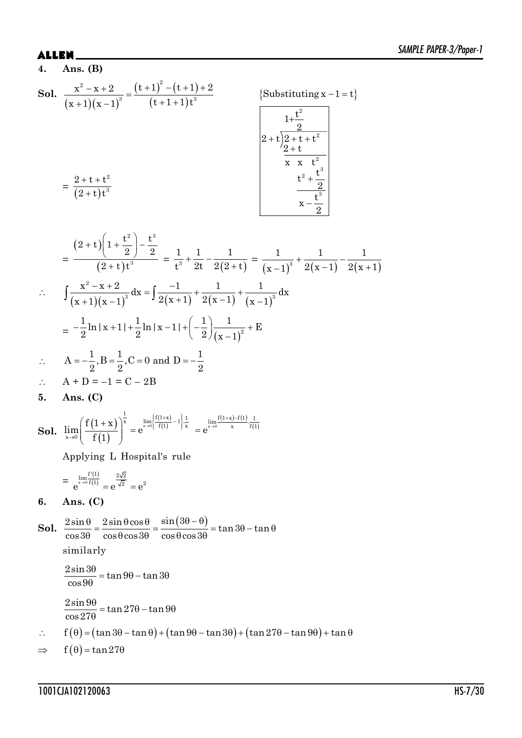## **ALLEN.**

$$
4. \quad \text{Ans. (B)}
$$

**Sol.** 
$$
\frac{x^2 - x + 2}{(x + 1)(x - 1)^3} = \frac{(t + 1)^2 - (t + 1) + 2}{(t + 1 + 1)t^3}
$$
  
\n
$$
= \frac{2 + t + t^2}{(2 + t)t^3}
$$
  
\n
$$
\begin{array}{|l|}\n\hline\n\text{Substituting } x - 1 = t} \\
\hline\n\text{Substituting } x - 1 = t} \\
\hline\n\frac{1 + \frac{t^2}{2}}{2 + t} \\
\hline\n\frac{2 + t}{2} \\
\hline\n\frac{t^2 + \frac{t^3}{2}}{x - \frac{t^3}{2}} \\
\hline\n\frac{x - \frac{t^3}{2}}{x - \frac{t^3}{2}}\n\end{array}
$$

$$
= \frac{(2+t)\left(1+\frac{t^2}{2}\right)-\frac{t^3}{2}}{(2+t)t^3} = \frac{1}{t^3} + \frac{1}{2t} - \frac{1}{2(2+t)} = \frac{1}{(x-1)^3} + \frac{1}{2(x-1)} - \frac{1}{2(x+1)}
$$
  

$$
\therefore \int \frac{x^2 - x + 2}{(x+1)(x-1)^3} dx = \int \frac{-1}{2(x+1)} + \frac{1}{2(x-1)} + \frac{1}{(x-1)^3} dx
$$

$$
= -\frac{1}{2}\ln|x+1| + \frac{1}{2}\ln|x-1| + \left(-\frac{1}{2}\right)\frac{1}{(x-1)^2} + E
$$

:. 
$$
A = -\frac{1}{2}, B = \frac{1}{2}, C = 0 \text{ and } D = -\frac{1}{2}
$$

$$
\therefore \quad A + D = -1 = C - 2B
$$

$$
5. \quad \text{Ans. (C)}
$$

**Sol.** 
$$
\lim_{x\to 0}\left(\frac{f(1+x)}{f(1)}\right)^{\frac{1}{x}}=e^{\lim_{x\to 0}\left[\frac{f(1+x)}{f(1)}-1\right]\frac{1}{x}}=e^{\lim_{x\to 0}\frac{f(1+x)-f(1)}{x}\cdot\frac{1}{f(1)}}
$$

Applying L Hospital's rule

$$
=\; \frac{\lim\limits_{x\to 0}\frac{f'(1)}{f(1)}}{e}\; = e^{\frac{2\sqrt{2}}{\sqrt{2}}}\; = e^2
$$

Ans.  $(C)$ 6.

**Sol.**  $\frac{2\sin\theta}{\cos 3\theta} = \frac{2\sin\theta\cos\theta}{\cos\theta\cos 3\theta} = \frac{\sin(3\theta - \theta)}{\cos\theta\cos 3\theta} = \tan 3\theta - \tan \theta$ similarly  $\frac{2\sin 3\theta}{\cos 9\theta} = \tan 9\theta - \tan 3\theta$  $\frac{2\sin 9\theta}{\cos 27\theta} = \tan 27\theta - \tan 9\theta$  $f(\theta) = (\tan 3\theta - \tan \theta) + (\tan 9\theta - \tan 3\theta) + (\tan 27\theta - \tan 9\theta) + \tan \theta$  $\mathbb{R}^2$  $f(\theta) = \tan 27\theta$  $\Rightarrow$ 

$$
1001CJA102120063\\
$$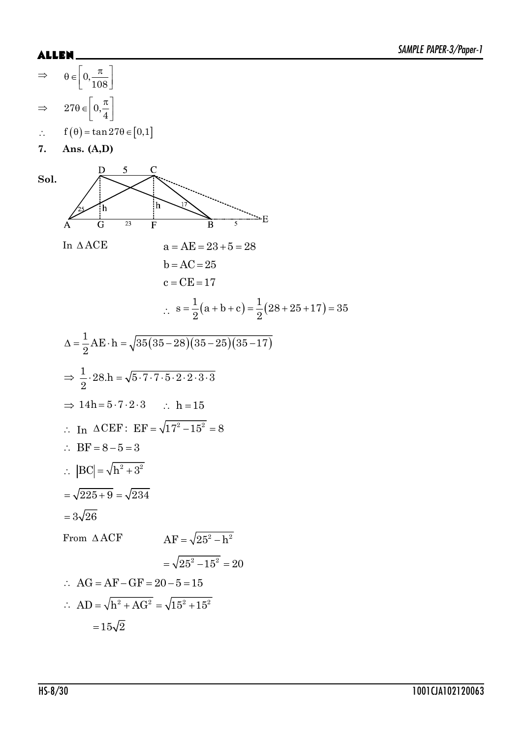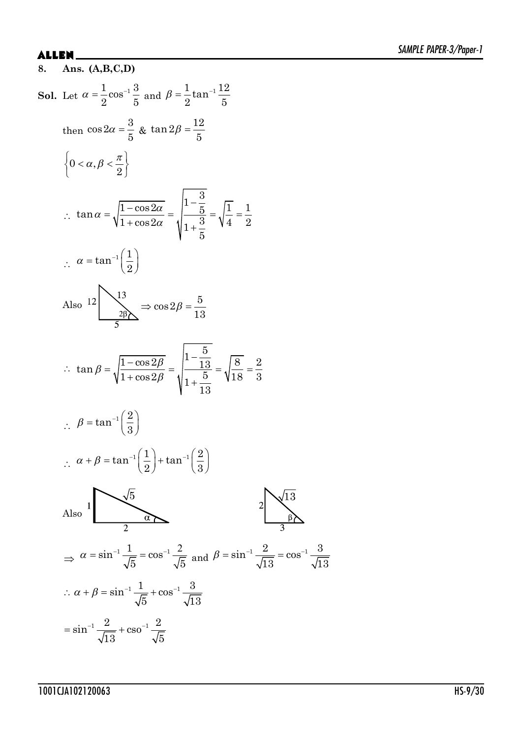## **ALLEN**

8. Ans.  $(A,B,C,D)$ **Sol.** Let  $\alpha = \frac{1}{2} \cos^{-1} \frac{3}{5}$  and  $\beta = \frac{1}{2} \tan^{-1} \frac{12}{5}$ then  $\cos 2\alpha = \frac{3}{5}$  &  $\tan 2\beta = \frac{12}{5}$  $\left\{0<\alpha,\beta<\frac{\pi}{2}\right\}$ ∴  $\tan \alpha = \sqrt{\frac{1-\cos 2\alpha}{1+\cos 2\alpha}} = \sqrt{\frac{1-\frac{3}{5}}{1+\frac{3}{5}}} = \sqrt{\frac{1}{4}} = \frac{1}{2}$  $\therefore \alpha = \tan^{-1}\left(\frac{1}{2}\right)$ Also  $12 \rightarrow 13 \rightarrow cos 2\beta = \frac{5}{13}$ ∴  $\tan \beta = \sqrt{\frac{1-\cos 2\beta}{1+\cos 2\beta}} = \sqrt{\frac{1-\frac{5}{13}}{1+\frac{5}{1+\frac{1}{1+\frac{1}{1+\frac{1}{1+\frac{1}{1+\frac{1}{1+\frac{1}{1+\frac{1}{1+\frac{1}{1+\frac{1}{1+\frac{1}{1+\frac{1}{1+\frac{1}{1+\frac{1}{1+\frac{1}{1+\frac{1}{1+\frac{1}{1+\frac{1}{1+\frac{1}{1+\frac{1}{1+\frac{1}{1+\frac{1}{1+\frac{1}{1+\frac{1}{1+\frac{1}{1+\frac{1}{1+\frac{1}{1+\frac{1}{1+\frac{1}{1$  $\therefore \ \beta = \tan^{-1}\left(\frac{2}{3}\right)$  $\therefore \ \alpha + \beta = \tan^{-1}\left(\frac{1}{2}\right) + \tan^{-1}\left(\frac{2}{3}\right)$ Also  $\sqrt{5}$  $\Rightarrow \alpha = \sin^{-1} \frac{1}{\sqrt{5}} = \cos^{-1} \frac{2}{\sqrt{5}}$  and  $\beta = \sin^{-1} \frac{2}{\sqrt{13}} = \cos^{-1} \frac{3}{\sqrt{13}}$  $\therefore \alpha + \beta = \sin^{-1} \frac{1}{\sqrt{5}} + \cos^{-1} \frac{3}{\sqrt{13}}$  $=\sin^{-1}\frac{2}{\sqrt{13}}+\csc^{-1}\frac{2}{\sqrt{5}}$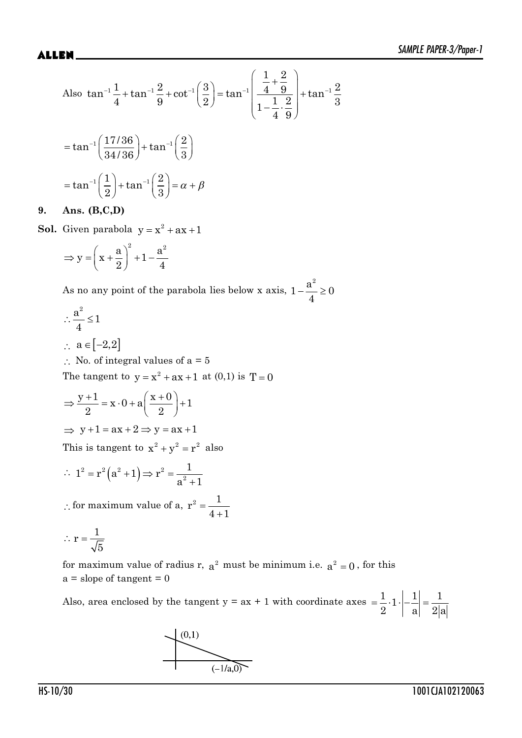Also 
$$
\tan^{-1} \frac{1}{4} + \tan^{-1} \frac{2}{9} + \cot^{-1} \left( \frac{3}{2} \right) = \tan^{-1} \left( \frac{\frac{1}{4} + \frac{2}{9}}{1 - \frac{1}{4} \cdot \frac{2}{9}} \right) + \tan^{-1} \frac{2}{3}
$$

$$
= \tan^{-1} \left( \frac{17/36}{34/36} \right) + \tan^{-1} \left( \frac{2}{3} \right)
$$

$$
= \tan^{-1} \left( \frac{1}{2} \right) + \tan^{-1} \left( \frac{2}{3} \right) = \alpha + \beta
$$

### **9. Ans. (B,C,D)**

**Sol.** Given parabola  $y = x^2 + ax + 1$ 

$$
\Rightarrow y = \left(x + \frac{a}{2}\right)^2 + 1 - \frac{a^2}{4}
$$

As no any point of the parabola lies below x axis,  $1-\frac{a}{x} \geq 0$  $1-\frac{a^2}{a}\geq 0$ 4

$$
\therefore \frac{a^2}{4} \le 1
$$

- $\therefore$  a  $\in [-2,2]$
- $\therefore$  No. of integral values of a = 5

The tangent to  $y = x^2 + ax + 1$  at (0,1) is  $T = 0$ 

 $\Rightarrow \frac{y+1}{2} = x \cdot 0 + a \left( \frac{x+0}{2} \right) + 1$ 2  $\begin{array}{ccc} & - & \cdot & \cdot & \cdot \\ & & \cdot & \cdot & \cdot \end{array}$  $\Rightarrow$  y + 1 = ax + 2  $\Rightarrow$  y = ax + 1

This is tangent to  $x^2 + y^2 = r^2$  also

$$
\therefore 1^2 = r^2 (a^2 + 1) \Rightarrow r^2 = \frac{1}{a^2 + 1}
$$

 $\therefore$  for maximum value of a,  $^{+}$  $r^2 = \frac{1}{\cdot}$  $4 + 1$ 

$$
\therefore r = \frac{1}{\sqrt{5}}
$$

for maximum value of radius r,  $a^2$  must be minimum i.e.  $a^2 = 0$ , for this  $a = slope of tangent = 0$ 

Also, area enclosed by the tangent  $y = ax + 1$  with coordinate axes  $= \frac{1}{2} \cdot 1 \cdot \left| -\frac{1}{2} \right| = \frac{1}{2}$  $2$  a  $2a$ 

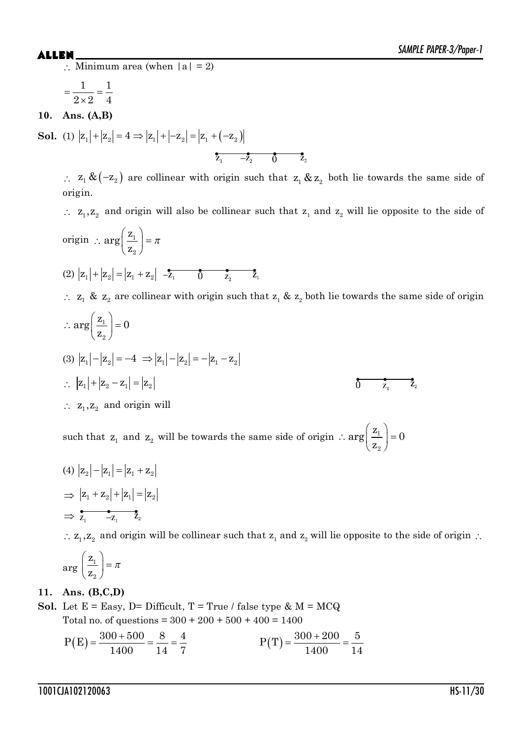$\therefore$  Minimum area (when  $|a| = 2$ )

 $=$  $\times$ 1 1  $2\times 2$  4

**10. Ans. (A,B)**

**Sol.** (1)  $|z_1| + |z_2| = 4 \Rightarrow |z_1| + |-z_2| = |z_1 + (-z_2)|$  $\overline{z_1}$   $-\overline{z_2}$  0  $\overline{z_2}$ 

 $\therefore$   $z_1 \& (-z_2)$  are collinear with origin such that  $z_1 \& z_2$  both lie towards the same side of origin.

 $\therefore$  z<sub>1</sub>, z<sub>2</sub> and origin will also be collinear such that z<sub>1</sub> and z<sub>2</sub> will lie opposite to the side of

origin :  $\arg\left(\frac{z_1}{z}\right) = \pi$  $arg\left(\frac{z}{z}\right)$ 1 z  $\left( \, \mathrm{z}_{\scriptscriptstyle 2} \, \right)$ 2 (2)  $|z_1| + |z_2| = |z_1 + z_2| + \frac{2}{z_1} + \frac{2}{z_2} + \frac{2}{z_1}$  $\therefore$   $z_1$  &  $z_2$  are collinear with origin such that  $z_1$  &  $z_2$  both lie towards the same side of origin  $\arg\left(\frac{\mathbf{z}_1}{\cdot}\right) = 0$  $\left( \begin{array}{c} 2 \end{array} \right)$  $\therefore \arg\left(\frac{z_1}{z_2}\right) = 0$ z 2 (3)  $|z_1| - |z_2| = -4 \Rightarrow |z_1| - |z_2| = -|z_1 - z_2|$  $\therefore$   $|z_1| + |z_2 - z_1| = |z_2|$  $\overrightarrow{0}$   $\overrightarrow{z_1}$   $\overrightarrow{z_2}$  $\therefore$  z<sub>1</sub>, z<sub>2</sub> and origin will

such that  $z_1$  and  $z_2$  will be towards the same side of origin  $\therefore \arg\left(\frac{z_1}{z}\right)$  $\therefore \arg\left(\frac{z_1}{z_2}\right) = 0$ 2  $\arg\left(\frac{z_1}{z}\right) = 0$ z

$$
(4) |z_2| - |z_1| = |z_1 + z_2|
$$
  
\n
$$
\Rightarrow |z_1 + z_2| + |z_1| = |z_2|
$$
  
\n
$$
\Rightarrow \overline{z_1 - z_1} \quad \overline{z_2}
$$

 $\therefore$  z<sub>1</sub>, z<sub>2</sub> and origin will be collinear such that z<sub>1</sub> and z<sub>2</sub> will lie opposite to the side of origin  $\therefore$ 

$$
\arg\left(\frac{\mathbf{Z}_1}{\mathbf{Z}_2}\right) = \pi
$$

## **11. Ans. (B,C,D)**

**Sol.** Let  $E = Easy$ ,  $D = Difficult$ ,  $T = True / false$  type  $\& M = MCQ$ Total no. of questions =  $300 + 200 + 500 + 400 = 1400$ 

$$
P(E) = \frac{300 + 500}{1400} = \frac{8}{14} = \frac{4}{7}
$$
 
$$
P(T) = \frac{300 + 200}{1400} = \frac{5}{14}
$$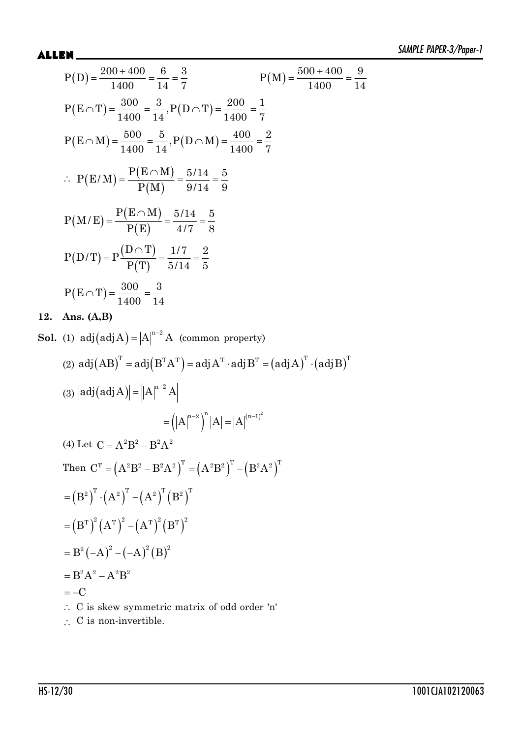**12.** 

Sol.

$$
P(D) = \frac{200 + 400}{1400} = \frac{6}{14} = \frac{3}{7}
$$
  
\n
$$
P(E \cap T) = \frac{300}{1400} = \frac{3}{14}, P(D \cap T) = \frac{200}{1400} = \frac{1}{7}
$$
  
\n
$$
P(E \cap M) = \frac{500}{1400} = \frac{5}{14}, P(D \cap T) = \frac{400}{1400} = \frac{2}{7}
$$
  
\n
$$
\therefore P(E/M) = \frac{P(E \cap M)}{P(M)} = \frac{5/14}{9/14} = \frac{5}{9}
$$
  
\n
$$
P(M/E) = \frac{P(E \cap M)}{P(E)} = \frac{5/14}{4/7} = \frac{5}{8}
$$
  
\n
$$
P(D/T) = P\frac{(D \cap T)}{P(T)} = \frac{1/7}{5/14} = \frac{2}{5}
$$
  
\n
$$
P(E \cap T) = \frac{300}{1400} = \frac{3}{14}
$$
  
\nAns. (A,B)  
\n(1) adj(adj A) = |A|<sup>n-2</sup> A (common property)  
\n(2) adj(AB)<sup>T</sup> = adj(B<sup>T</sup>A<sup>T</sup>) = adj A<sup>T</sup> · adj B<sup>T</sup> = (adj A)<sup>T</sup> · (adj B)<sup>T</sup>  
\n(3) |adj(adj A)| = |A|<sup>n-2</sup> A

$$
= (|A|^{n-2})^n |A| = |A|^{(n-1)^2}
$$
  
(4) Let C = A<sup>2</sup>B<sup>2</sup> – B<sup>2</sup>A<sup>2</sup>  
Then C<sup>T</sup> = (A<sup>2</sup>B<sup>2</sup> – B<sup>2</sup>A<sup>2</sup>)<sup>T</sup> = (A<sup>2</sup>B<sup>2</sup>)<sup>T</sup> – (B<sup>2</sup>A<sup>2</sup>)<sup>T</sup>  
= (B<sup>2</sup>)<sup>T</sup> ·(A<sup>2</sup>)<sup>T</sup> – (A<sup>2</sup>)<sup>T</sup> (B<sup>2</sup>)<sup>T</sup>  
= (B<sup>T</sup>)<sup>2</sup> (A<sup>T</sup>)<sup>2</sup> – (A<sup>T</sup>)<sup>2</sup> (B<sup>T</sup>)<sup>2</sup>  
= B<sup>2</sup>(-A)<sup>2</sup> – (-A)<sup>2</sup> (B)<sup>2</sup>  
= B<sup>2</sup>A<sup>2</sup> – A<sup>2</sup>B<sup>2</sup>  
= –C  
∴ C is skew symmetric matrix of odd order 'n'

 $\therefore$  C is non-invertible.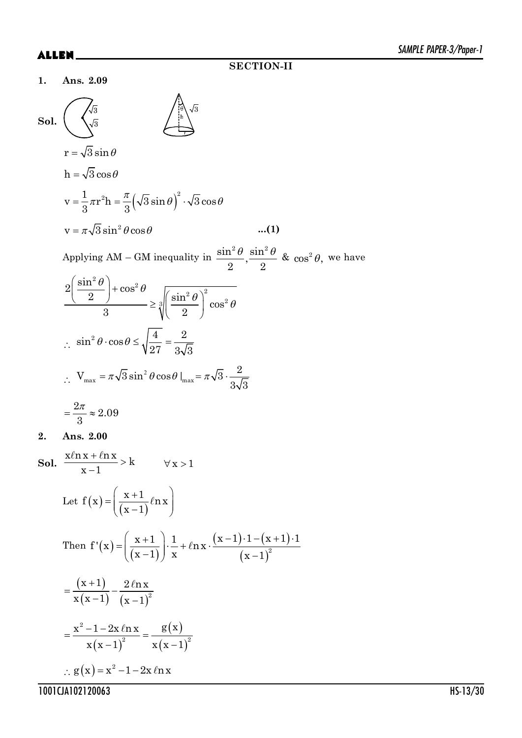**1. Ans. 2.09**



1001CJA102120063 HS-13/30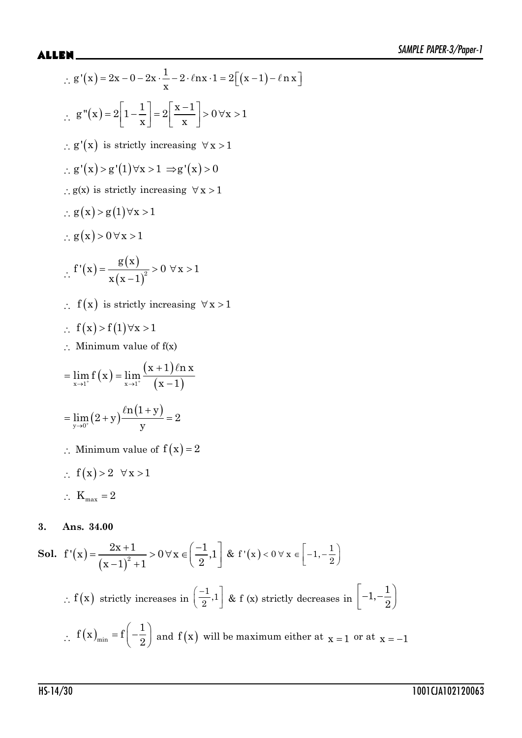?  ª º  ¬ ¼ 1 g ' x 2x 0 2x 2 nx 1 2 x 1 n x x A A ?  1 x1 g" x 2 1 2 0 x 1 x x ª ºª º !! « »« » ¬ ¼¬ ¼ ? g' x  is strictly increasing ! x 1 ? g' x g' 1 x 1 g' x 0  ! ! !   ?g(x) is strictly increasing ! x 1 ? gx g1 x 1  ! !  ? gx 0 x 1  !! ?   2 g x f' x 0 x 1 xx 1 ! ! ? f x  is strictly increasing ! x 1 ? fx f1 x 1  ! !  ? Minimum value of f(x)  o o x1 x1 x 1 nx lim f x lim x 1 A y 0 n1 y lim 2 y 2 y <sup>o</sup> A ? Minimum value of fx 2  ? fx 2 x 1  ! ! ? K 2 max

**Sol.** 
$$
f'(x) = \frac{2x+1}{(x-1)^2+1} > 0 \forall x \in \left(-\frac{1}{2}, 1\right]
$$
 &  $f'(x) < 0 \forall x \in \left[-1, -\frac{1}{2}\right]$   
\n $\therefore f(x) \text{ strictly increases in } \left(\frac{-1}{2}, 1\right]$  &  $f(x) \text{ strictly decreases in } \left[-1, -\frac{1}{2}\right)$   
\n $\therefore f(x)_{\min} = f\left(-\frac{1}{2}\right)$  and  $f(x) \text{ will be maximum either at } x = 1 \text{ or at } x = -1$ 

**3. Ans. 34.00**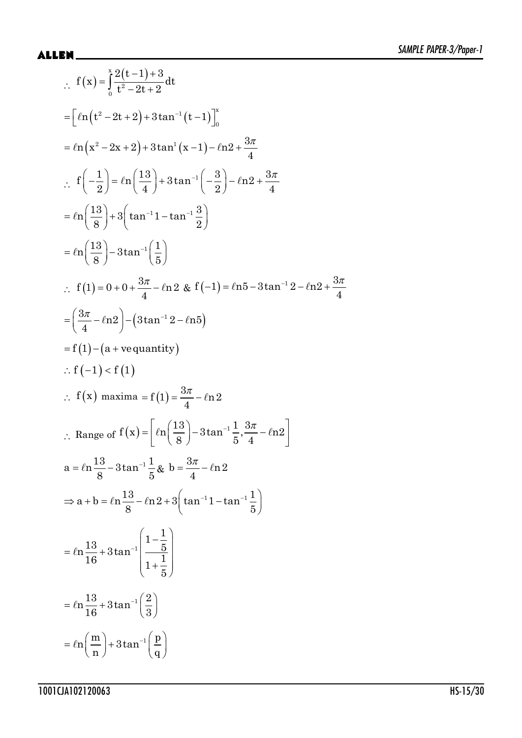$$
f(x) = \int_{0}^{x} \frac{2(t-1)+3}{t^2-2t+2} dt
$$
  
\n
$$
= [ln(t^2-2t+2)+3tan^{-1}(t-1)]_{0}^{x}
$$
  
\n
$$
= ln(x^2-2x+2)+3tan^{-1}(x-1)-ln2+\frac{3\pi}{4}
$$
  
\n
$$
\therefore f(-\frac{1}{2}) = ln(\frac{13}{4})+3tan^{-1}(-\frac{3}{2})-ln2+\frac{3\pi}{4}
$$
  
\n
$$
= ln(\frac{13}{8})+3(tan^{-1}1-tan^{-1}\frac{3}{2})
$$
  
\n
$$
= ln(\frac{13}{8})-3tan^{-1}(\frac{1}{5})
$$
  
\n
$$
\therefore f(1)=0+0+\frac{3\pi}{4}-ln2 \& f(-1)=ln5-3tan^{-1}2-ln2+\frac{3\pi}{4}
$$
  
\n
$$
= (\frac{3\pi}{4}-ln2)-(3tan^{-1}2-ln5)
$$
  
\n
$$
= f(1)-(a+ve quantity)
$$
  
\n
$$
\therefore f(-1) < f(1)
$$
  
\n
$$
\therefore f(x) maxima = f(1) = \frac{3\pi}{4}-ln2
$$
  
\n
$$
\therefore Range \text{ of } f(x) = [ln(\frac{13}{8})-3tan^{-1}\frac{1}{5}, \frac{3\pi}{4}-ln2]
$$
  
\n
$$
a = ln\frac{13}{8}-3tan^{-1}\frac{1}{5} \& b = \frac{3\pi}{4}-ln2
$$
  
\n
$$
\Rightarrow a+b = ln\frac{13}{8}-ln2+3(tan^{-1}1-tan^{-1}\frac{1}{5})
$$
  
\n
$$
= ln\frac{13}{16}+3tan^{-1}(\frac{1-\frac{1}{5}}{3})
$$
  
\n
$$
= ln(\frac{13}{16}+3tan^{-1}(\frac{2}{3}))
$$
  
\n
$$
= ln(\frac{13}{16}+3tan^{-1}(\frac{2}{3}))
$$
  
\n
$$
= ln(\frac{13}{16}+3tan^{-1}(\frac{2}{3}))
$$
  
\n
$$
= ln(\frac{13}{16}+3tan^{-1}(\frac{2}{3}))
$$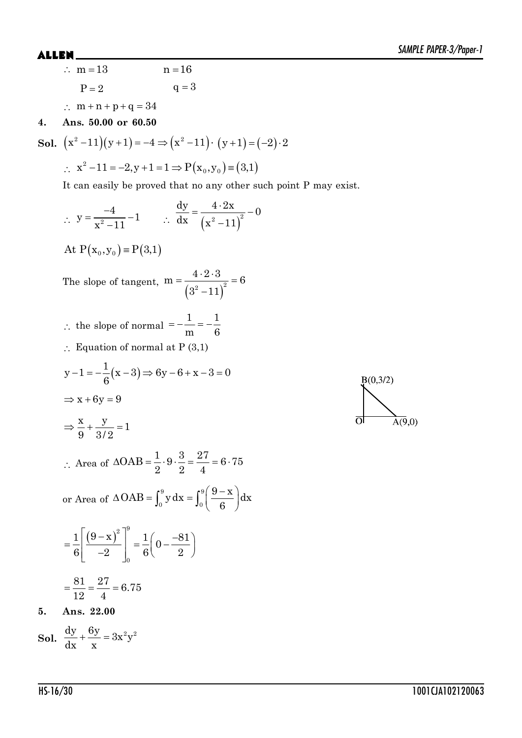$B(0, 3/2)$ 

 $\overline{A(9,0)}$ 

 $\overline{O}$ 

:  $m = 13$  n = 16  $P = 2$   $q = 3$  $\therefore$  m + n + p + q = 34

## **4. Ans. 50.00 or 60.50**

**Sol.** 
$$
(x^2 - 11)(y + 1) = -4 \Rightarrow (x^2 - 11) \cdot (y + 1) = (-2) \cdot 2
$$

 $\therefore$   $x^2 - 11 = -2, y + 1 = 1 \Rightarrow P(x_0, y_0) = (3, 1)$ 

It can easily be proved that no any other such point P may exist.

$$
y = \frac{-4}{x^2 - 11} - 1 \qquad \therefore \frac{dy}{dx} = \frac{4 \cdot 2x}{(x^2 - 11)^2} - 0
$$
  
At P(x<sub>0</sub>, y<sub>0</sub>) = P(3,1)  
The slope of tangent, m =  $\frac{4 \cdot 2 \cdot 3}{(3^2 - 11)^2} = 6$   
∴ the slope of normal =  $-\frac{1}{m} = -\frac{1}{6}$   
∴ Equation of normal at P (3,1)  

$$
y - 1 = -\frac{1}{6}(x - 3) \Rightarrow 6y - 6 + x - 3 = 0
$$

$$
\Rightarrow x + 6y = 9
$$

$$
\Rightarrow \frac{x}{9} + \frac{y}{3/2} = 1
$$

$$
\therefore \text{ Area of } \triangle OAB = \frac{1}{2} \cdot 9 \cdot \frac{3}{2} = \frac{27}{4} = 6.75
$$
  
or Area of  $\triangle OAB = \int_0^9 y \, dx = \int_0^9 \left(\frac{9 - x}{6}\right) dx$ 
$$
= \frac{1}{6} \left[\frac{(9 - x)^2}{-2}\right]_0^9 = \frac{1}{6} \left(0 - \frac{-81}{2}\right)
$$

$$
= \frac{81}{12} = \frac{27}{4} = 6.75
$$
  
Ans. 22.00

**Sol.**  $\frac{dy}{dx} + \frac{6y}{y} = 3x^2y^2$ dx x  $+\frac{dy}{dx} = 3$ 

**5.**